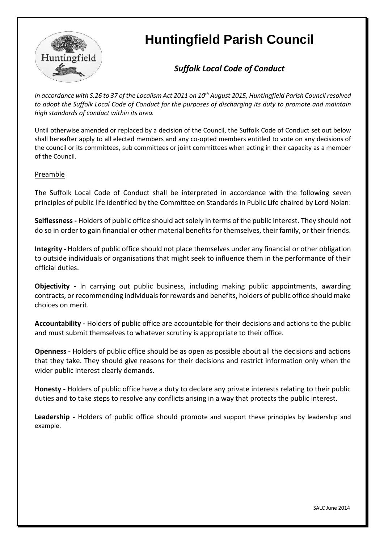

# **Huntingfield Parish Council**

# *Suffolk Local Code of Conduct*

*In accordance with S.26 to 37 of the Localism Act 2011 on 10th August 2015, Huntingfield Parish Council resolved to adopt the Suffolk Local Code of Conduct for the purposes of discharging its duty to promote and maintain high standards of conduct within its area.*

Until otherwise amended or replaced by a decision of the Council, the Suffolk Code of Conduct set out below shall hereafter apply to all elected members and any co-opted members entitled to vote on any decisions of the council or its committees, sub committees or joint committees when acting in their capacity as a member of the Council.

# Preamble

The Suffolk Local Code of Conduct shall be interpreted in accordance with the following seven principles of public life identified by the Committee on Standards in Public Life chaired by Lord Nolan:

**Selflessness -** Holders of public office should act solely in terms of the public interest. They should not do so in order to gain financial or other material benefits for themselves, their family, or their friends.

**Integrity -** Holders of public office should not place themselves under any financial or other obligation to outside individuals or organisations that might seek to influence them in the performance of their official duties.

**Objectivity -** In carrying out public business, including making public appointments, awarding contracts, or recommending individuals for rewards and benefits, holders of public office should make choices on merit.

**Accountability -** Holders of public office are accountable for their decisions and actions to the public and must submit themselves to whatever scrutiny is appropriate to their office.

**Openness -** Holders of public office should be as open as possible about all the decisions and actions that they take. They should give reasons for their decisions and restrict information only when the wider public interest clearly demands.

**Honesty -** Holders of public office have a duty to declare any private interests relating to their public duties and to take steps to resolve any conflicts arising in a way that protects the public interest.

**Leadership -** Holders of public office should promote and support these principles by leadership and example.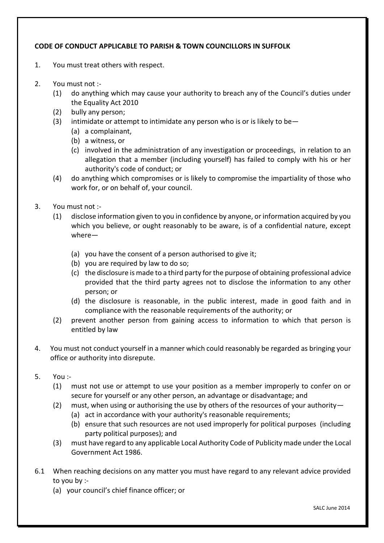# **CODE OF CONDUCT APPLICABLE TO PARISH & TOWN COUNCILLORS IN SUFFOLK**

- 1. You must treat others with respect.
- 2. You must not :-
	- (1) do anything which may cause your authority to breach any of the Council's duties under the Equality Act 2010
	- (2) bully any person;
	- (3) intimidate or attempt to intimidate any person who is or is likely to be-
		- (a) a complainant,
			- (b) a witness, or
			- (c) involved in the administration of any investigation or proceedings, in relation to an allegation that a member (including yourself) has failed to comply with his or her authority's code of conduct; or
	- (4) do anything which compromises or is likely to compromise the impartiality of those who work for, or on behalf of, your council.
- 3. You must not :-
	- (1) disclose information given to you in confidence by anyone, or information acquired by you which you believe, or ought reasonably to be aware, is of a confidential nature, except where—
		- (a) you have the consent of a person authorised to give it;
		- (b) you are required by law to do so;
		- (c) the disclosure is made to a third party for the purpose of obtaining professional advice provided that the third party agrees not to disclose the information to any other person; or
		- (d) the disclosure is reasonable, in the public interest, made in good faith and in compliance with the reasonable requirements of the authority; or
	- (2) prevent another person from gaining access to information to which that person is entitled by law
- 4. You must not conduct yourself in a manner which could reasonably be regarded as bringing your office or authority into disrepute.
- 5. You :-
	- (1) must not use or attempt to use your position as a member improperly to confer on or secure for yourself or any other person, an advantage or disadvantage; and
	- (2) must, when using or authorising the use by others of the resources of your authority—
		- (a) act in accordance with your authority's reasonable requirements;
		- (b) ensure that such resources are not used improperly for political purposes (including party political purposes); and
	- (3) must have regard to any applicable Local Authority Code of Publicity made under the Local Government Act 1986.
- 6.1 When reaching decisions on any matter you must have regard to any relevant advice provided to you by :-
	- (a) your council's chief finance officer; or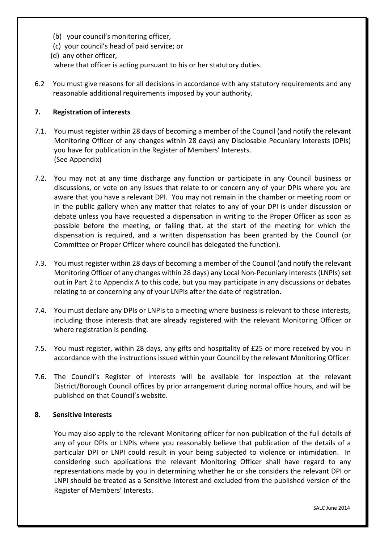- (b) your council's monitoring officer,
- (c) your council's head of paid service; or
- (d) any other officer,

where that officer is acting pursuant to his or her statutory duties.

6.2 You must give reasons for all decisions in accordance with any statutory requirements and any reasonable additional requirements imposed by your authority.

# **7. Registration of interests**

- 7.1. You must register within 28 days of becoming a member of the Council (and notify the relevant Monitoring Officer of any changes within 28 days) any Disclosable Pecuniary Interests (DPIs) you have for publication in the Register of Members' Interests. (See Appendix)
- 7.2. You may not at any time discharge any function or participate in any Council business or discussions, or vote on any issues that relate to or concern any of your DPIs where you are aware that you have a relevant DPI. You may not remain in the chamber or meeting room or in the public gallery when any matter that relates to any of your DPI is under discussion or debate unless you have requested a dispensation in writing to the Proper Officer as soon as possible before the meeting, or failing that, at the start of the meeting for which the dispensation is required, and a written dispensation has been granted by the Council (or Committee or Proper Officer where council has delegated the function).
- 7.3. You must register within 28 days of becoming a member of the Council (and notify the relevant Monitoring Officer of any changes within 28 days) any Local Non-Pecuniary Interests (LNPIs) set out in Part 2 to Appendix A to this code, but you may participate in any discussions or debates relating to or concerning any of your LNPIs after the date of registration.
- 7.4. You must declare any DPIs or LNPIs to a meeting where business is relevant to those interests, including those interests that are already registered with the relevant Monitoring Officer or where registration is pending.
- 7.5. You must register, within 28 days, any gifts and hospitality of £25 or more received by you in accordance with the instructions issued within your Council by the relevant Monitoring Officer.
- 7.6. The Council's Register of Interests will be available for inspection at the relevant District/Borough Council offices by prior arrangement during normal office hours, and will be published on that Council's website.

#### **8. Sensitive Interests**

You may also apply to the relevant Monitoring officer for non-publication of the full details of any of your DPIs or LNPIs where you reasonably believe that publication of the details of a particular DPI or LNPI could result in your being subjected to violence or intimidation. In considering such applications the relevant Monitoring Officer shall have regard to any representations made by you in determining whether he or she considers the relevant DPI or LNPI should be treated as a Sensitive Interest and excluded from the published version of the Register of Members' Interests.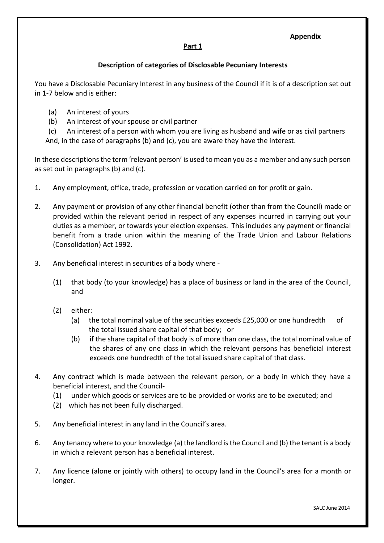#### **Appendix**

# **Part 1**

# **Description of categories of Disclosable Pecuniary Interests**

You have a Disclosable Pecuniary Interest in any business of the Council if it is of a description set out in 1-7 below and is either:

- (a) An interest of yours
- (b) An interest of your spouse or civil partner

(c) An interest of a person with whom you are living as husband and wife or as civil partners And, in the case of paragraphs (b) and (c), you are aware they have the interest.

In these descriptions the term 'relevant person' is used to mean you as a member and any such person as set out in paragraphs (b) and (c).

- 1. Any employment, office, trade, profession or vocation carried on for profit or gain.
- 2. Any payment or provision of any other financial benefit (other than from the Council) made or provided within the relevant period in respect of any expenses incurred in carrying out your duties as a member, or towards your election expenses. This includes any payment or financial benefit from a trade union within the meaning of the Trade Union and Labour Relations (Consolidation) Act 1992.
- 3. Any beneficial interest in securities of a body where
	- (1) that body (to your knowledge) has a place of business or land in the area of the Council, and
	- (2) either:
		- (a) the total nominal value of the securities exceeds £25,000 or one hundredth of the total issued share capital of that body; or
		- (b) if the share capital of that body is of more than one class, the total nominal value of the shares of any one class in which the relevant persons has beneficial interest exceeds one hundredth of the total issued share capital of that class.
- 4. Any contract which is made between the relevant person, or a body in which they have a beneficial interest, and the Council-
	- (1) under which goods or services are to be provided or works are to be executed; and
	- (2) which has not been fully discharged.
- 5. Any beneficial interest in any land in the Council's area.
- 6. Any tenancy where to your knowledge (a) the landlord is the Council and (b) the tenant is a body in which a relevant person has a beneficial interest.
- 7. Any licence (alone or jointly with others) to occupy land in the Council's area for a month or longer.